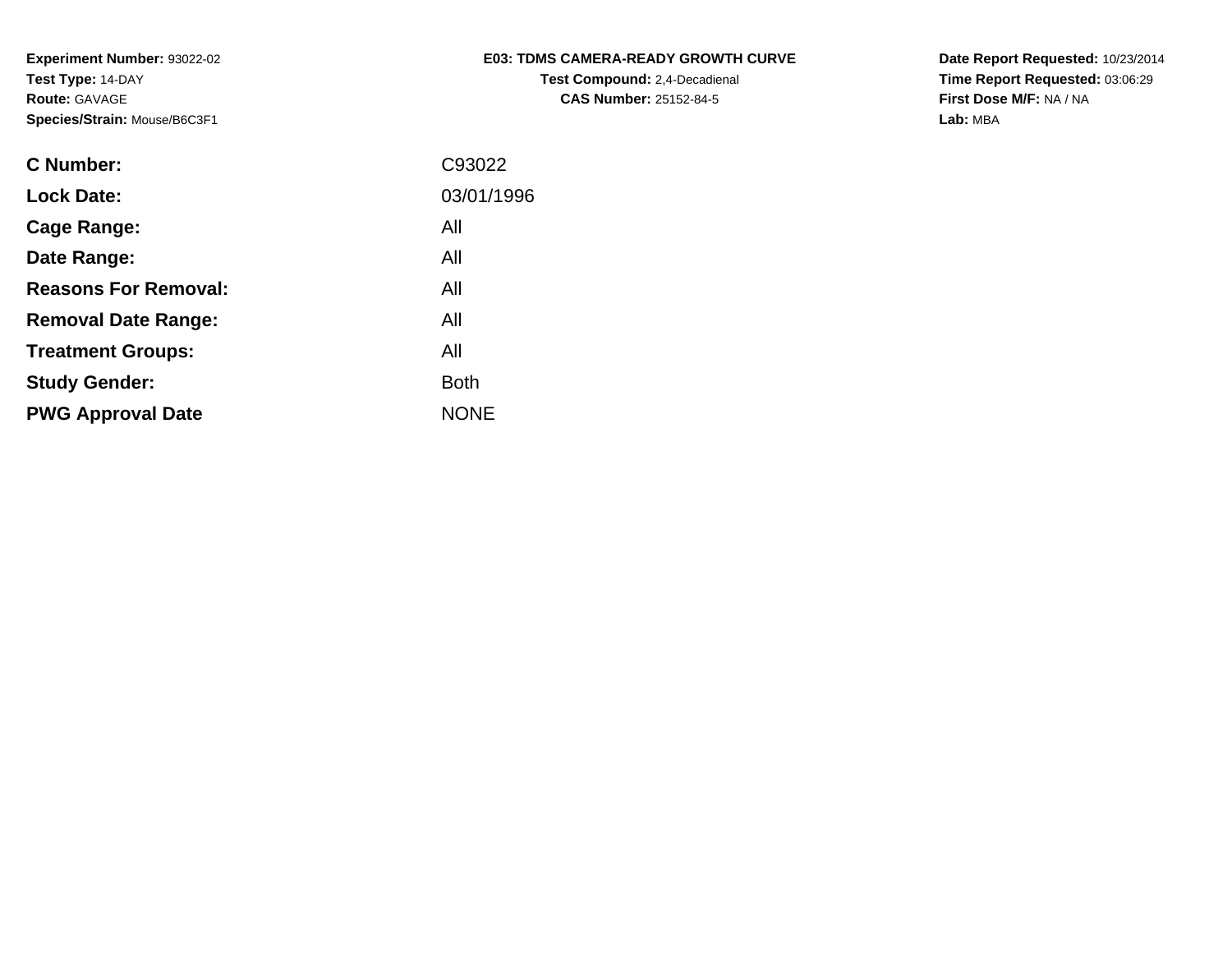|  | <b>E03: TDMS CAMERA-READY GROWTH CURVE</b> |  |  |  |  |
|--|--------------------------------------------|--|--|--|--|
|  |                                            |  |  |  |  |

**Test Compound:** 2,4-Decadienal **CAS Number:** 25152-84-5

**Date Report Requested:** 10/23/2014 **Time Report Requested:** 03:06:29**First Dose M/F:** NA / NA**Lab:** MBA

| <b>C</b> Number:            | C93022      |
|-----------------------------|-------------|
| <b>Lock Date:</b>           | 03/01/1996  |
| Cage Range:                 | All         |
| Date Range:                 | All         |
| <b>Reasons For Removal:</b> | All         |
| <b>Removal Date Range:</b>  | All         |
| <b>Treatment Groups:</b>    | All         |
| <b>Study Gender:</b>        | <b>Both</b> |
| <b>PWG Approval Date</b>    | <b>NONE</b> |
|                             |             |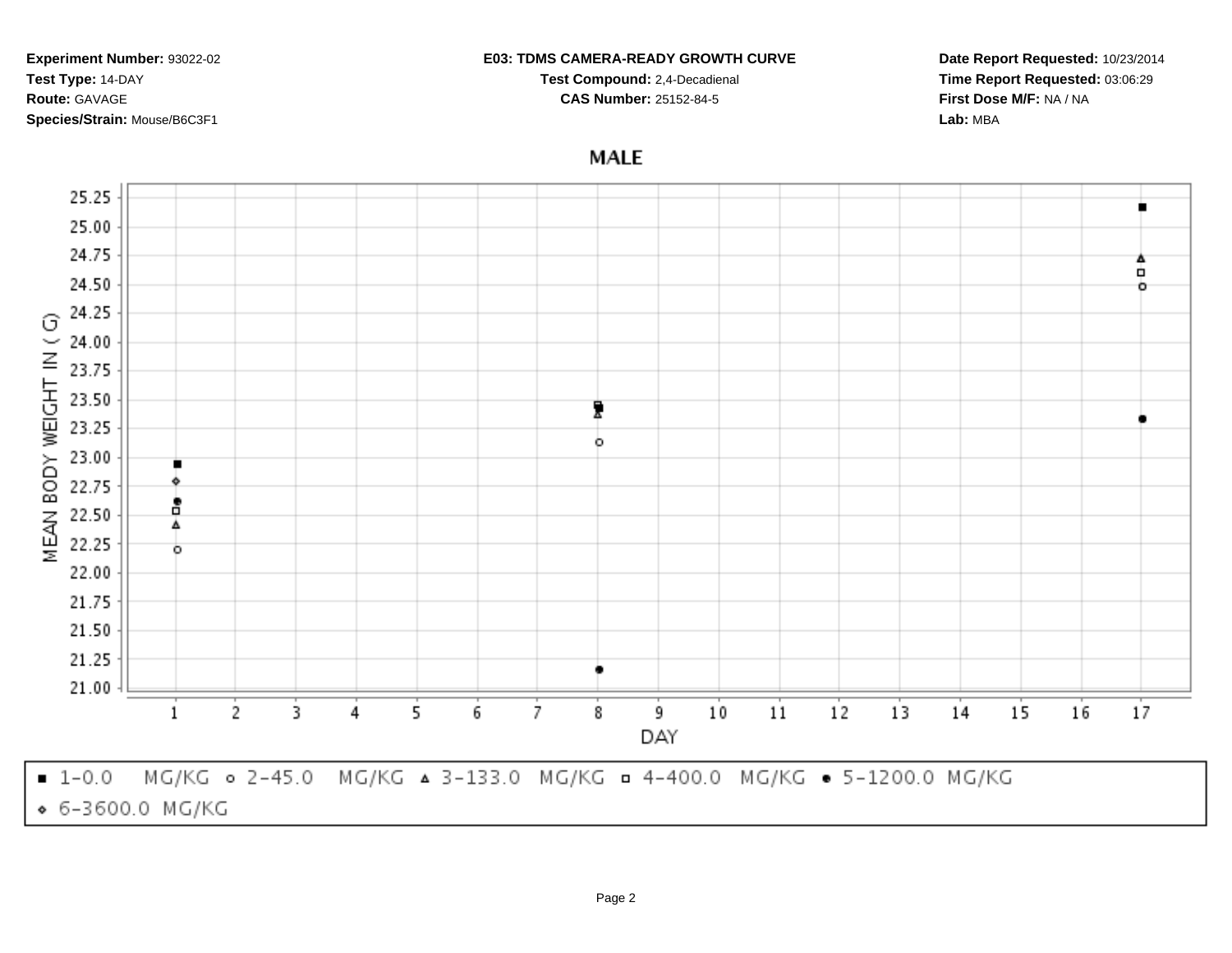### **E03: TDMS CAMERA-READY GROWTH CURVE**

**Test Compound:** 2,4-Decadienal **CAS Number:** 25152-84-5

**Date Report Requested:** 10/23/2014**Time Report Requested:** 03:06:29**First Dose M/F:** NA / NA**Lab:** MBA

**MALE** 

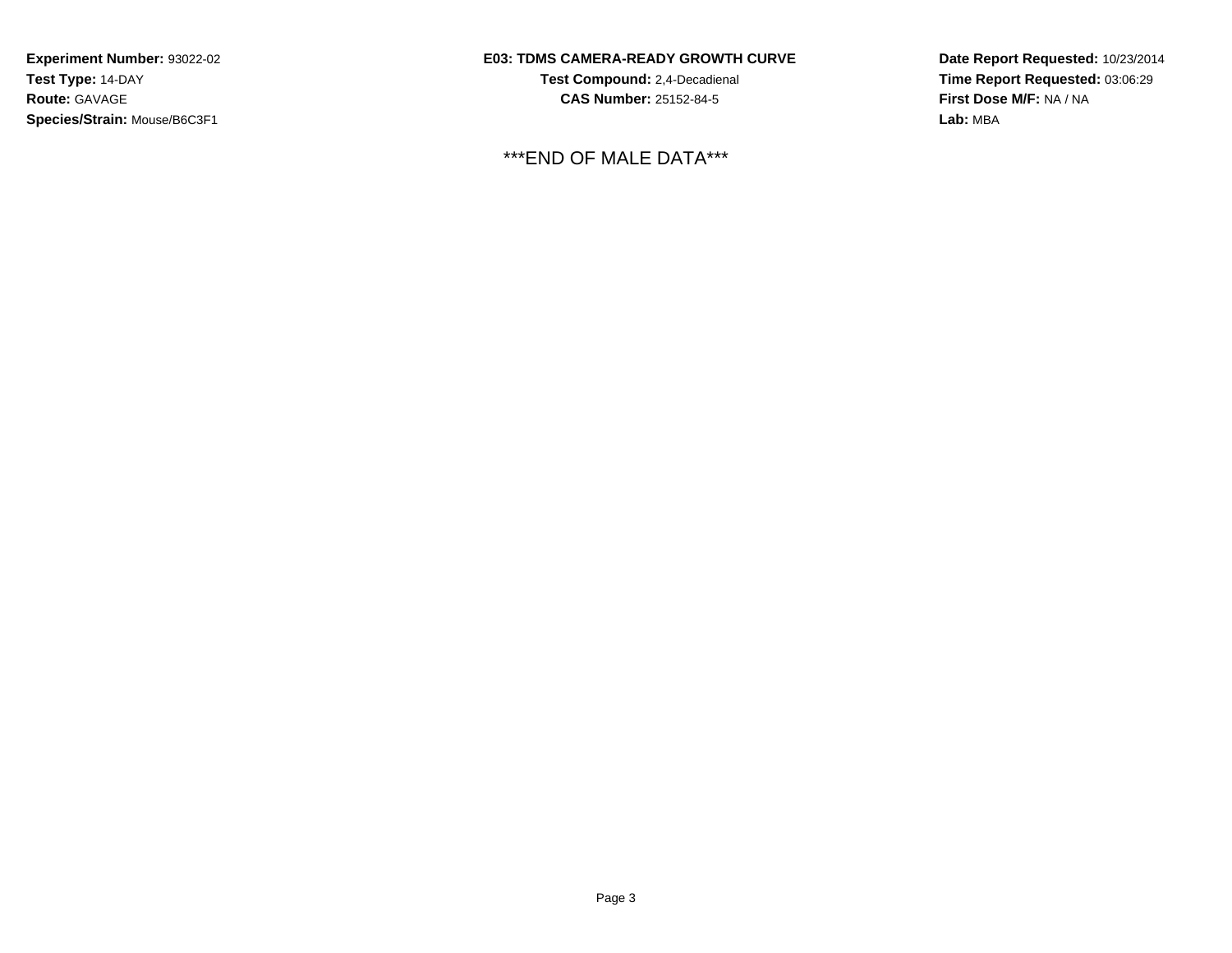## **E03: TDMS CAMERA-READY GROWTH CURVE**

**Test Compound:** 2,4-Decadienal **CAS Number:** 25152-84-5

\*\*\*END OF MALE DATA\*\*\*

**Date Report Requested:** 10/23/2014**Time Report Requested:** 03:06:29**First Dose M/F:** NA / NA**Lab:** MBA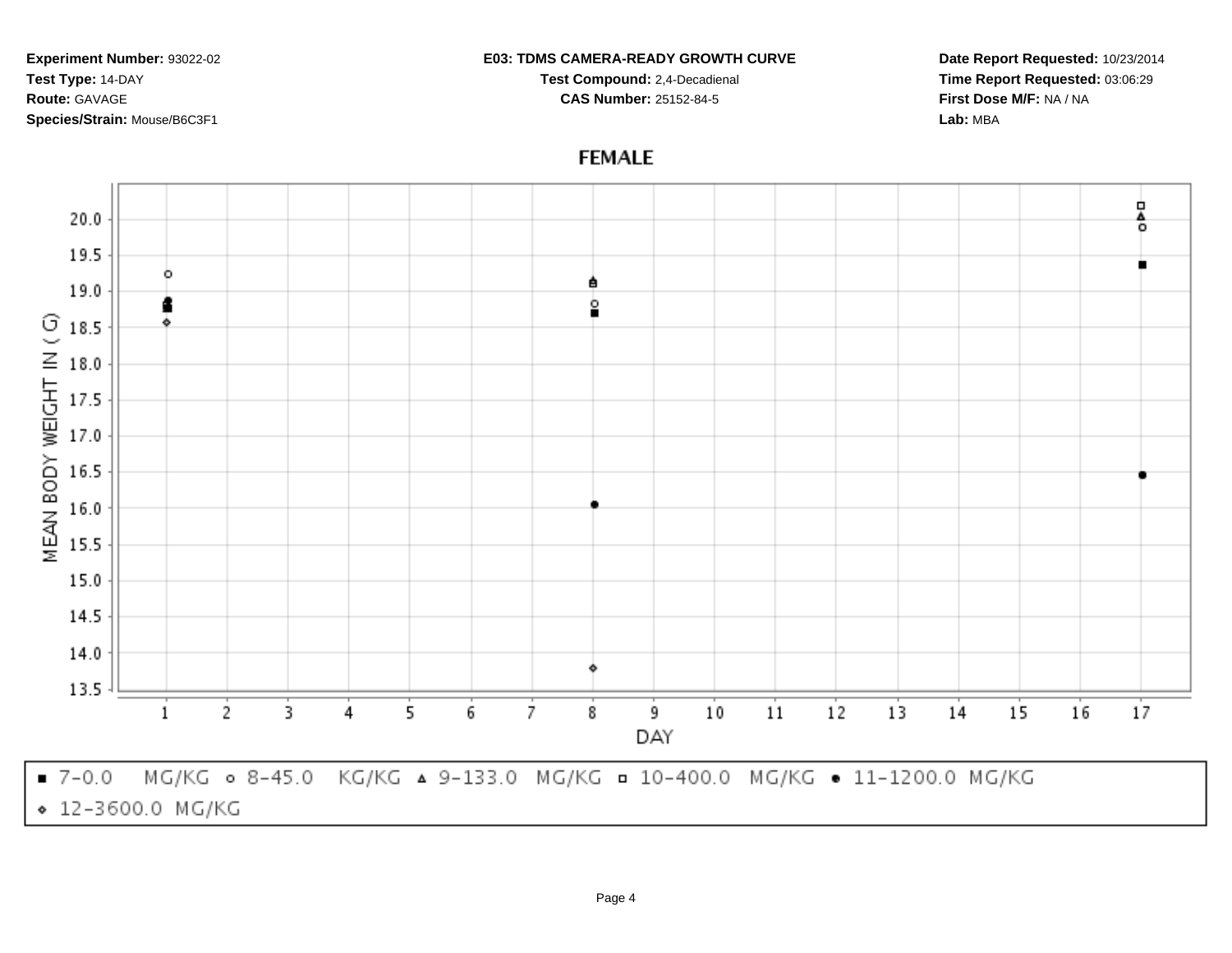#### **E03: TDMS CAMERA-READY GROWTH CURVE**

**Test Compound:** 2,4-Decadienal **CAS Number:** 25152-84-5

**Date Report Requested:** 10/23/2014**Time Report Requested:** 03:06:29**First Dose M/F:** NA / NA**Lab:** MBA

# **FEMALE**